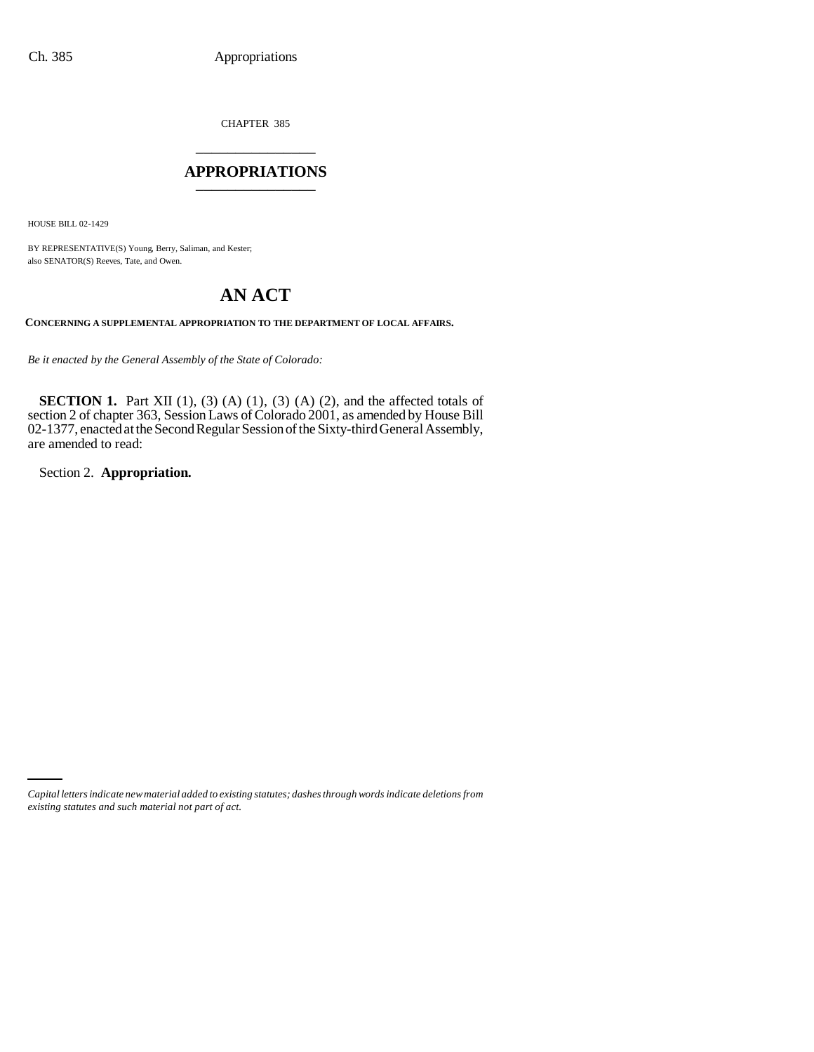CHAPTER 385 \_\_\_\_\_\_\_\_\_\_\_\_\_\_\_

# **APPROPRIATIONS** \_\_\_\_\_\_\_\_\_\_\_\_\_\_\_

HOUSE BILL 02-1429

BY REPRESENTATIVE(S) Young, Berry, Saliman, and Kester; also SENATOR(S) Reeves, Tate, and Owen.

# **AN ACT**

**CONCERNING A SUPPLEMENTAL APPROPRIATION TO THE DEPARTMENT OF LOCAL AFFAIRS.**

*Be it enacted by the General Assembly of the State of Colorado:*

**SECTION 1.** Part XII  $(1)$ ,  $(3)$   $(A)$   $(1)$ ,  $(3)$   $(A)$   $(2)$ , and the affected totals of section 2 of chapter 363, Session Laws of Colorado 2001, as amended by House Bill 02-1377, enacted at the Second Regular Session of the Sixty-third General Assembly, are amended to read:

Section 2. **Appropriation.**

*Capital letters indicate new material added to existing statutes; dashes through words indicate deletions from existing statutes and such material not part of act.*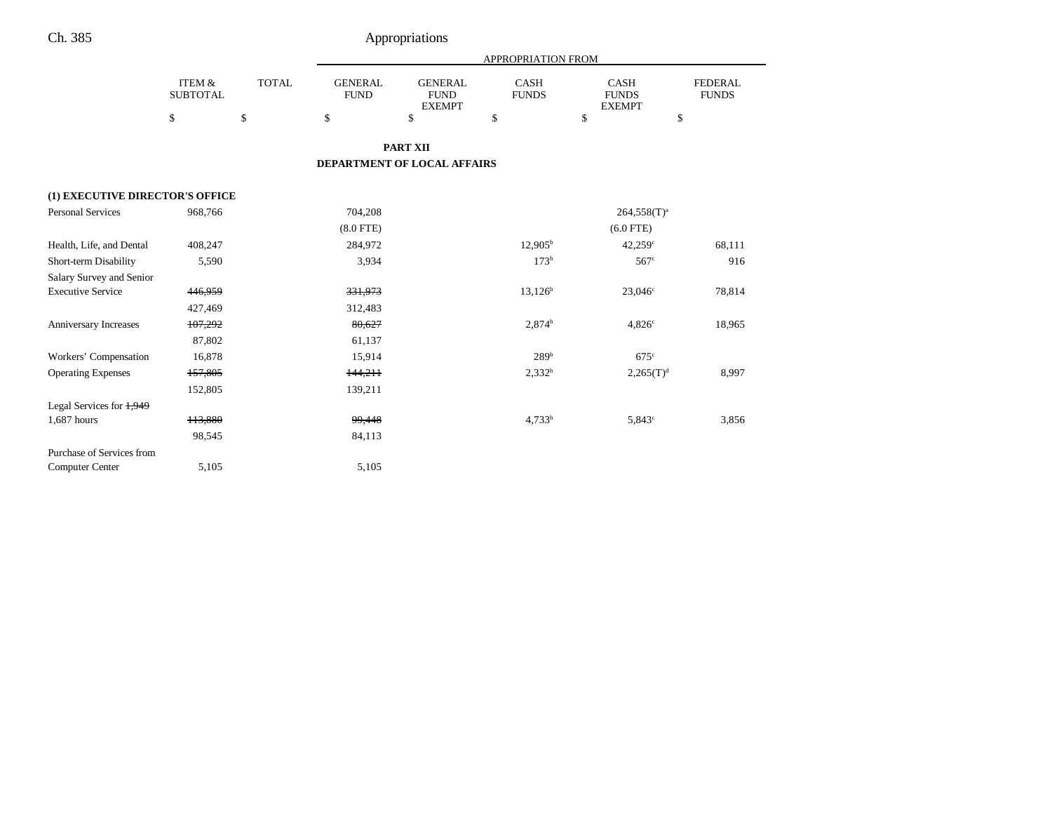|                                 |                                      |              | APPROPRIATION FROM            |                                                |                      |                                              |                                |  |  |
|---------------------------------|--------------------------------------|--------------|-------------------------------|------------------------------------------------|----------------------|----------------------------------------------|--------------------------------|--|--|
|                                 | <b>ITEM &amp;</b><br><b>SUBTOTAL</b> | <b>TOTAL</b> | <b>GENERAL</b><br><b>FUND</b> | <b>GENERAL</b><br><b>FUND</b><br><b>EXEMPT</b> | CASH<br><b>FUNDS</b> | <b>CASH</b><br><b>FUNDS</b><br><b>EXEMPT</b> | <b>FEDERAL</b><br><b>FUNDS</b> |  |  |
|                                 | \$                                   | \$           | \$                            | \$                                             | \$                   | \$<br>\$                                     |                                |  |  |
|                                 |                                      |              |                               | <b>PART XII</b>                                |                      |                                              |                                |  |  |
|                                 |                                      |              |                               |                                                |                      |                                              |                                |  |  |
|                                 |                                      |              |                               | DEPARTMENT OF LOCAL AFFAIRS                    |                      |                                              |                                |  |  |
| (1) EXECUTIVE DIRECTOR'S OFFICE |                                      |              |                               |                                                |                      |                                              |                                |  |  |
| <b>Personal Services</b>        | 968,766                              |              | 704,208                       |                                                |                      | $264,558(T)^{a}$                             |                                |  |  |
|                                 |                                      |              | $(8.0$ FTE)                   |                                                |                      | $(6.0$ FTE)                                  |                                |  |  |
| Health, Life, and Dental        | 408,247                              |              | 284,972                       |                                                | 12.905 <sup>b</sup>  | $42,259^{\circ}$                             | 68,111                         |  |  |
| Short-term Disability           | 5,590                                |              | 3,934                         |                                                | $173^b$              | 567 <sup>c</sup>                             | 916                            |  |  |
| Salary Survey and Senior        |                                      |              |                               |                                                |                      |                                              |                                |  |  |
| <b>Executive Service</b>        | 446,959                              |              | 331,973                       |                                                | $13,126^b$           | $23,046^{\circ}$                             | 78,814                         |  |  |
|                                 | 427,469                              |              | 312,483                       |                                                |                      |                                              |                                |  |  |
| Anniversary Increases           | 107,292                              |              | 80,627                        |                                                | $2,874^b$            | $4,826^\circ$                                | 18,965                         |  |  |
|                                 | 87,802                               |              | 61,137                        |                                                |                      |                                              |                                |  |  |
| Workers' Compensation           | 16,878                               |              | 15,914                        |                                                | 289 <sup>b</sup>     | $675^\circ$                                  |                                |  |  |
| <b>Operating Expenses</b>       | 157,805                              |              | 144,211                       |                                                | $2,332^b$            | $2,265(T)^{d}$                               | 8,997                          |  |  |
|                                 | 152,805                              |              | 139,211                       |                                                |                      |                                              |                                |  |  |
| Legal Services for $1,949$      |                                      |              |                               |                                                |                      |                                              |                                |  |  |
| 1,687 hours                     | 113,880                              |              | 99,448                        |                                                | 4.733 <sup>b</sup>   | $5,843^{\circ}$                              | 3,856                          |  |  |
|                                 | 98,545                               |              | 84,113                        |                                                |                      |                                              |                                |  |  |
| Purchase of Services from       |                                      |              |                               |                                                |                      |                                              |                                |  |  |
| <b>Computer Center</b>          | 5,105                                |              | 5,105                         |                                                |                      |                                              |                                |  |  |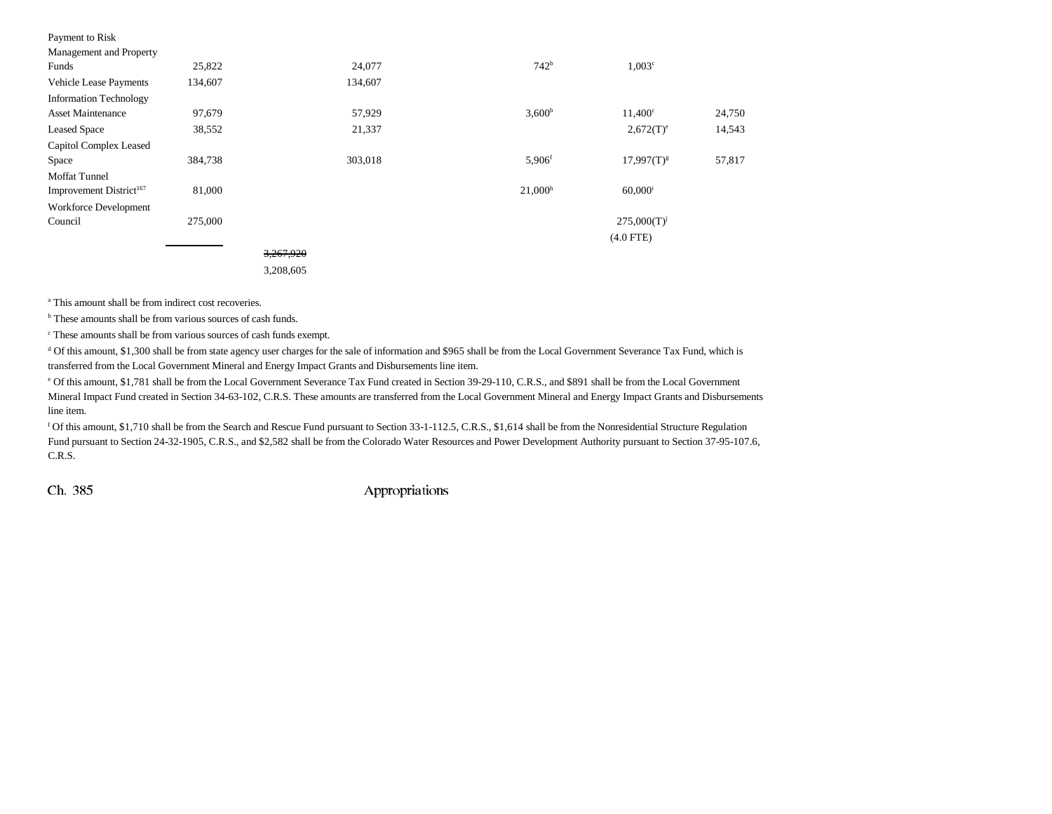| Payment to Risk                     |         |           |         |                      |                       |        |
|-------------------------------------|---------|-----------|---------|----------------------|-----------------------|--------|
| Management and Property             |         |           |         |                      |                       |        |
| Funds                               | 25,822  |           | 24,077  | 742 <sup>b</sup>     | 1,003 <sup>c</sup>    |        |
| Vehicle Lease Payments              | 134,607 |           | 134,607 |                      |                       |        |
| <b>Information Technology</b>       |         |           |         |                      |                       |        |
| <b>Asset Maintenance</b>            | 97,679  |           | 57,929  | 3,600 <sup>b</sup>   | $11,400^{\circ}$      | 24,750 |
| <b>Leased Space</b>                 | 38,552  |           | 21,337  |                      | $2,672(T)^e$          | 14,543 |
| Capitol Complex Leased              |         |           |         |                      |                       |        |
| Space                               | 384,738 |           | 303,018 | $5,906$ <sup>f</sup> | $17,997(T)^{g}$       | 57,817 |
| <b>Moffat Tunnel</b>                |         |           |         |                      |                       |        |
| Improvement District <sup>167</sup> | 81,000  |           |         | $21,000^h$           | $60,000$ <sup>i</sup> |        |
| <b>Workforce Development</b>        |         |           |         |                      |                       |        |
| Council                             | 275,000 |           |         |                      | $275,000(T)^{j}$      |        |
|                                     |         |           |         |                      | $(4.0$ FTE)           |        |
|                                     |         | 3,267,920 |         |                      |                       |        |
|                                     |         | 3,208,605 |         |                      |                       |        |

<sup>a</sup> This amount shall be from indirect cost recoveries.

<sup>b</sup> These amounts shall be from various sources of cash funds.

c These amounts shall be from various sources of cash funds exempt.

<sup>d</sup> Of this amount, \$1,300 shall be from state agency user charges for the sale of information and \$965 shall be from the Local Government Severance Tax Fund, which is transferred from the Local Government Mineral and Energy Impact Grants and Disbursements line item.

e Of this amount, \$1,781 shall be from the Local Government Severance Tax Fund created in Section 39-29-110, C.R.S., and \$891 shall be from the Local Government Mineral Impact Fund created in Section 34-63-102, C.R.S. These amounts are transferred from the Local Government Mineral and Energy Impact Grants and Disbursements line item.

f Of this amount, \$1,710 shall be from the Search and Rescue Fund pursuant to Section 33-1-112.5, C.R.S., \$1,614 shall be from the Nonresidential Structure Regulation Fund pursuant to Section 24-32-1905, C.R.S., and \$2,582 shall be from the Colorado Water Resources and Power Development Authority pursuant to Section 37-95-107.6, C.R.S.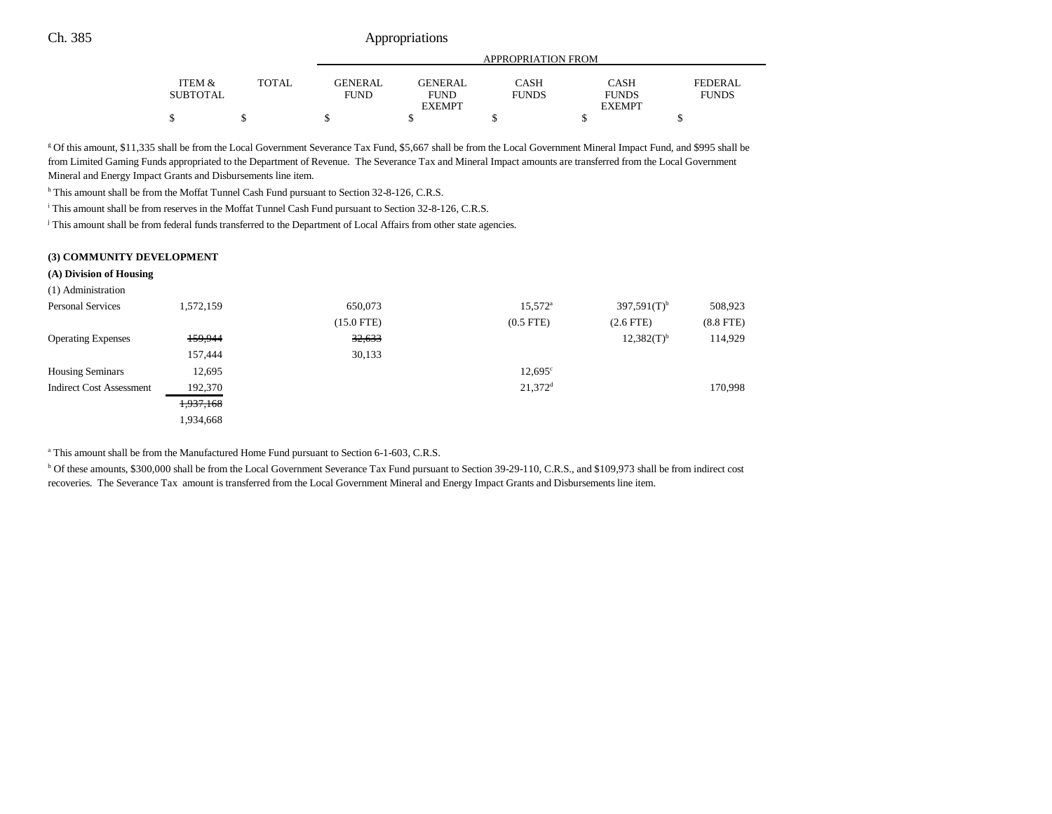# Ch. 385 Appropriations

|                 |       |             | APPROPRIATION FROM |              |               |              |  |
|-----------------|-------|-------------|--------------------|--------------|---------------|--------------|--|
| ITEM &          | TOTAL | GENERAL     | <b>GENERAL</b>     | CASH         | CASH          | FEDERAL      |  |
| <b>SUBTOTAL</b> |       | <b>FUND</b> | <b>FUND</b>        | <b>FUNDS</b> | <b>FUNDS</b>  | <b>FUNDS</b> |  |
|                 |       |             | <b>EXEMPT</b>      |              | <b>EXEMPT</b> |              |  |
| ሖ<br>Φ          |       |             |                    |              |               |              |  |

g Of this amount, \$11,335 shall be from the Local Government Severance Tax Fund, \$5,667 shall be from the Local Government Mineral Impact Fund, and \$995 shall be from Limited Gaming Funds appropriated to the Department of Revenue. The Severance Tax and Mineral Impact amounts are transferred from the Local Government Mineral and Energy Impact Grants and Disbursements line item.

h This amount shall be from the Moffat Tunnel Cash Fund pursuant to Section 32-8-126, C.R.S.

i This amount shall be from reserves in the Moffat Tunnel Cash Fund pursuant to Section 32-8-126, C.R.S.

j This amount shall be from federal funds transferred to the Department of Local Affairs from other state agencies.

### **(3) COMMUNITY DEVELOPMENT**

#### **(A) Division of Housing**

| (1) Administration              |           |                 |                       |                  |             |
|---------------------------------|-----------|-----------------|-----------------------|------------------|-------------|
| <b>Personal Services</b>        | 1,572,159 | 650,073         | $15,572^{\circ}$      | $397,591(T)^{b}$ | 508,923     |
|                                 |           | $(15.0$ FTE $)$ | $(0.5$ FTE $)$        | $(2.6$ FTE $)$   | $(8.8$ FTE) |
| <b>Operating Expenses</b>       | 159,944   | 32,633          |                       | $12,382(T)^{b}$  | 114,929     |
|                                 | 157,444   | 30,133          |                       |                  |             |
| <b>Housing Seminars</b>         | 12,695    |                 | $12,695^{\circ}$      |                  |             |
| <b>Indirect Cost Assessment</b> | 192,370   |                 | $21.372$ <sup>d</sup> |                  | 170,998     |
|                                 | 1,937,168 |                 |                       |                  |             |
|                                 | 1,934,668 |                 |                       |                  |             |

a This amount shall be from the Manufactured Home Fund pursuant to Section 6-1-603, C.R.S.

b Of these amounts, \$300,000 shall be from the Local Government Severance Tax Fund pursuant to Section 39-29-110, C.R.S., and \$109,973 shall be from indirect cost recoveries. The Severance Tax amount is transferred from the Local Government Mineral and Energy Impact Grants and Disbursements line item.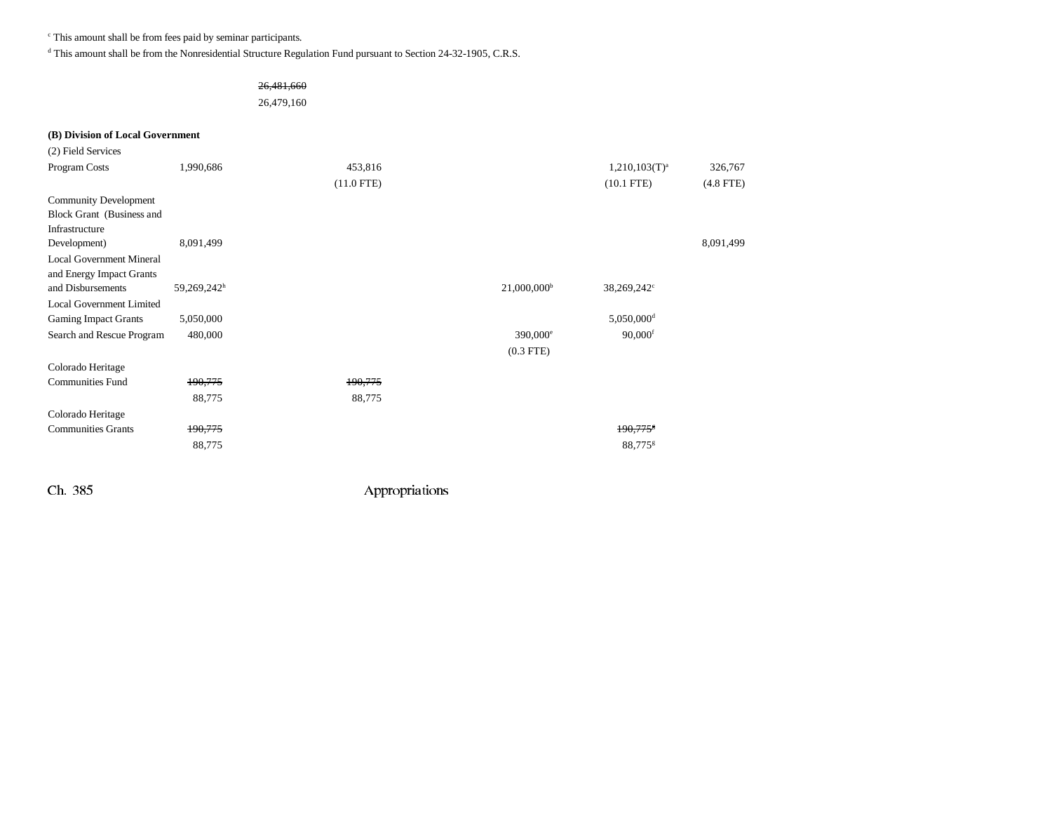c This amount shall be from fees paid by seminar participants.

d This amount shall be from the Nonresidential Structure Regulation Fund pursuant to Section 24-32-1905, C.R.S.

# 26,481,660

26,479,160

# **(B) Division of Local Government**

| (2) Field Services              |             |              |                           |                          |             |
|---------------------------------|-------------|--------------|---------------------------|--------------------------|-------------|
| Program Costs                   | 1,990,686   | 453,816      |                           | $1,210,103(T)^a$         | 326,767     |
|                                 |             | $(11.0$ FTE) |                           | $(10.1$ FTE)             | $(4.8$ FTE) |
| <b>Community Development</b>    |             |              |                           |                          |             |
| Block Grant (Business and       |             |              |                           |                          |             |
| Infrastructure                  |             |              |                           |                          |             |
| Development)                    | 8,091,499   |              |                           |                          | 8,091,499   |
| <b>Local Government Mineral</b> |             |              |                           |                          |             |
| and Energy Impact Grants        |             |              |                           |                          |             |
| and Disbursements               | 59,269,242h |              | $21,000,000$ <sup>b</sup> | 38,269,242 <sup>c</sup>  |             |
| <b>Local Government Limited</b> |             |              |                           |                          |             |
| <b>Gaming Impact Grants</b>     | 5,050,000   |              |                           | $5,050,000$ <sup>d</sup> |             |
| Search and Rescue Program       | 480,000     |              | 390,000 <sup>e</sup>      | $90,000$ <sup>f</sup>    |             |
|                                 |             |              | $(0.3$ FTE $)$            |                          |             |
| Colorado Heritage               |             |              |                           |                          |             |
| <b>Communities Fund</b>         | 190,775     | 190,775      |                           |                          |             |
|                                 | 88,775      | 88,775       |                           |                          |             |
| Colorado Heritage               |             |              |                           |                          |             |
| <b>Communities Grants</b>       | 190,775     |              |                           | 190,775                  |             |
|                                 | 88,775      |              |                           | 88,775 <sup>g</sup>      |             |
|                                 |             |              |                           |                          |             |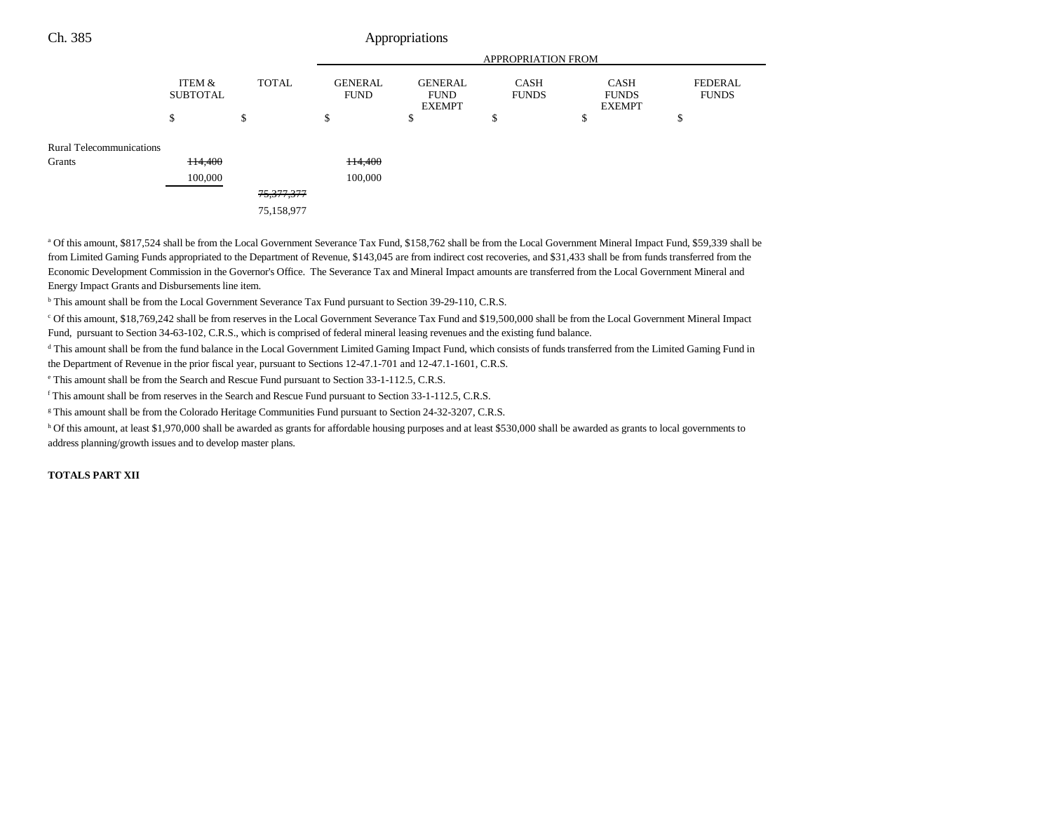# Ch. 385 Appropriations

|                                 |                           | <b>APPROPRIATION FROM</b> |                               |                                                |                             |                                              |                                |
|---------------------------------|---------------------------|---------------------------|-------------------------------|------------------------------------------------|-----------------------------|----------------------------------------------|--------------------------------|
|                                 | ITEM &<br><b>SUBTOTAL</b> | <b>TOTAL</b>              | <b>GENERAL</b><br><b>FUND</b> | <b>GENERAL</b><br><b>FUND</b><br><b>EXEMPT</b> | <b>CASH</b><br><b>FUNDS</b> | <b>CASH</b><br><b>FUNDS</b><br><b>EXEMPT</b> | <b>FEDERAL</b><br><b>FUNDS</b> |
|                                 | \$                        | \$                        | \$                            | D                                              | ¢<br>Ф                      | \$                                           | \$                             |
| <b>Rural Telecommunications</b> |                           |                           |                               |                                                |                             |                                              |                                |
| Grants                          | <b>H4,400</b>             |                           | 114,400                       |                                                |                             |                                              |                                |
|                                 | 100,000                   |                           | 100,000                       |                                                |                             |                                              |                                |
|                                 |                           | <del>75,377,377</del>     |                               |                                                |                             |                                              |                                |
|                                 |                           | 75,158,977                |                               |                                                |                             |                                              |                                |
|                                 |                           |                           |                               |                                                |                             |                                              |                                |

<sup>a</sup> Of this amount, \$817,524 shall be from the Local Government Severance Tax Fund, \$158,762 shall be from the Local Government Mineral Impact Fund, \$59,339 shall be from Limited Gaming Funds appropriated to the Department of Revenue, \$143,045 are from indirect cost recoveries, and \$31,433 shall be from funds transferred from the Economic Development Commission in the Governor's Office. The Severance Tax and Mineral Impact amounts are transferred from the Local Government Mineral and Energy Impact Grants and Disbursements line item.

<sup>b</sup> This amount shall be from the Local Government Severance Tax Fund pursuant to Section 39-29-110, C.R.S.

c Of this amount, \$18,769,242 shall be from reserves in the Local Government Severance Tax Fund and \$19,500,000 shall be from the Local Government Mineral Impact Fund, pursuant to Section 34-63-102, C.R.S., which is comprised of federal mineral leasing revenues and the existing fund balance.

<sup>d</sup> This amount shall be from the fund balance in the Local Government Limited Gaming Impact Fund, which consists of funds transferred from the Limited Gaming Fund in the Department of Revenue in the prior fiscal year, pursuant to Sections 12-47.1-701 and 12-47.1-1601, C.R.S.

e This amount shall be from the Search and Rescue Fund pursuant to Section 33-1-112.5, C.R.S.

f This amount shall be from reserves in the Search and Rescue Fund pursuant to Section 33-1-112.5, C.R.S.

<sup>g</sup> This amount shall be from the Colorado Heritage Communities Fund pursuant to Section 24-32-3207, C.R.S.

h Of this amount, at least \$1,970,000 shall be awarded as grants for affordable housing purposes and at least \$530,000 shall be awarded as grants to local governments to address planning/growth issues and to develop master plans.

### **TOTALS PART XII**